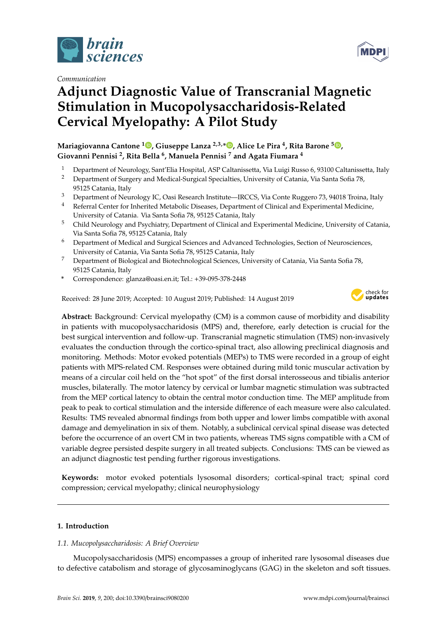

*Communication*



# **Adjunct Diagnostic Value of Transcranial Magnetic Stimulation in Mucopolysaccharidosis-Related Cervical Myelopathy: A Pilot Study**

**Mariagiovanna Cantone <sup>1</sup> [,](https://orcid.org/0000-0002-9072-4971) Giuseppe Lanza 2,3,[\\*](https://orcid.org/0000-0002-5659-662X) , Alice Le Pira <sup>4</sup> , Rita Barone <sup>5</sup> [,](https://orcid.org/0000-0001-6302-2686) Giovanni Pennisi <sup>2</sup> , Rita Bella <sup>6</sup> , Manuela Pennisi <sup>7</sup> and Agata Fiumara <sup>4</sup>**

- <sup>1</sup> Department of Neurology, Sant'Elia Hospital, ASP Caltanissetta, Via Luigi Russo 6, 93100 Caltanissetta, Italy<br><sup>2</sup> Department of Surgery and Medical Surgical Specialties, University of Catania Via Santa Sofia <sup>78</sup>
- <sup>2</sup> Department of Surgery and Medical-Surgical Specialties, University of Catania, Via Santa Sofia 78, 95125 Catania, Italy
- <sup>3</sup> Department of Neurology IC, Oasi Research Institute—IRCCS, Via Conte Ruggero 73, 94018 Troina, Italy
- <sup>4</sup> Referral Center for Inherited Metabolic Diseases, Department of Clinical and Experimental Medicine, University of Catania. Via Santa Sofia 78, 95125 Catania, Italy
- <sup>5</sup> Child Neurology and Psychiatry, Department of Clinical and Experimental Medicine, University of Catania, Via Santa Sofia 78, 95125 Catania, Italy
- <sup>6</sup> Department of Medical and Surgical Sciences and Advanced Technologies, Section of Neurosciences, University of Catania, Via Santa Sofia 78, 95125 Catania, Italy
- <sup>7</sup> Department of Biological and Biotechnological Sciences, University of Catania, Via Santa Sofia 78, 95125 Catania, Italy
- **\*** Correspondence: glanza@oasi.en.it; Tel.: +39-095-378-2448

Received: 28 June 2019; Accepted: 10 August 2019; Published: 14 August 2019



**Abstract:** Background: Cervical myelopathy (CM) is a common cause of morbidity and disability in patients with mucopolysaccharidosis (MPS) and, therefore, early detection is crucial for the best surgical intervention and follow-up. Transcranial magnetic stimulation (TMS) non-invasively evaluates the conduction through the cortico-spinal tract, also allowing preclinical diagnosis and monitoring. Methods: Motor evoked potentials (MEPs) to TMS were recorded in a group of eight patients with MPS-related CM. Responses were obtained during mild tonic muscular activation by means of a circular coil held on the "hot spot" of the first dorsal interosseous and tibialis anterior muscles, bilaterally. The motor latency by cervical or lumbar magnetic stimulation was subtracted from the MEP cortical latency to obtain the central motor conduction time. The MEP amplitude from peak to peak to cortical stimulation and the interside difference of each measure were also calculated. Results: TMS revealed abnormal findings from both upper and lower limbs compatible with axonal damage and demyelination in six of them. Notably, a subclinical cervical spinal disease was detected before the occurrence of an overt CM in two patients, whereas TMS signs compatible with a CM of variable degree persisted despite surgery in all treated subjects. Conclusions: TMS can be viewed as an adjunct diagnostic test pending further rigorous investigations.

**Keywords:** motor evoked potentials lysosomal disorders; cortical-spinal tract; spinal cord compression; cervical myelopathy; clinical neurophysiology

# **1. Introduction**

# *1.1. Mucopolysaccharidosis: A Brief Overview*

Mucopolysaccharidosis (MPS) encompasses a group of inherited rare lysosomal diseases due to defective catabolism and storage of glycosaminoglycans (GAG) in the skeleton and soft tissues.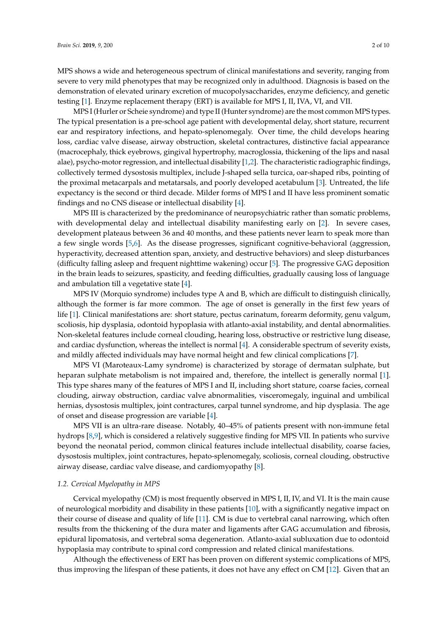MPS shows a wide and heterogeneous spectrum of clinical manifestations and severity, ranging from severe to very mild phenotypes that may be recognized only in adulthood. Diagnosis is based on the demonstration of elevated urinary excretion of mucopolysaccharides, enzyme deficiency, and genetic testing [\[1\]](#page-6-0). Enzyme replacement therapy (ERT) is available for MPS I, II, IVA, VI, and VII.

MPS I (Hurler or Scheie syndrome) and type II (Hunter syndrome) are the most common MPS types. The typical presentation is a pre-school age patient with developmental delay, short stature, recurrent ear and respiratory infections, and hepato-splenomegaly. Over time, the child develops hearing loss, cardiac valve disease, airway obstruction, skeletal contractures, distinctive facial appearance (macrocephaly, thick eyebrows, gingival hypertrophy, macroglossia, thickening of the lips and nasal alae), psycho-motor regression, and intellectual disability [\[1](#page-6-0)[,2\]](#page-7-0). The characteristic radiographic findings, collectively termed dysostosis multiplex, include J-shaped sella turcica, oar-shaped ribs, pointing of the proximal metacarpals and metatarsals, and poorly developed acetabulum [\[3\]](#page-7-1). Untreated, the life expectancy is the second or third decade. Milder forms of MPS I and II have less prominent somatic findings and no CNS disease or intellectual disability [\[4\]](#page-7-2).

MPS III is characterized by the predominance of neuropsychiatric rather than somatic problems, with developmental delay and intellectual disability manifesting early on [\[2\]](#page-7-0). In severe cases, development plateaus between 36 and 40 months, and these patients never learn to speak more than a few single words [\[5](#page-7-3)[,6\]](#page-7-4). As the disease progresses, significant cognitive-behavioral (aggression, hyperactivity, decreased attention span, anxiety, and destructive behaviors) and sleep disturbances (difficulty falling asleep and frequent nighttime wakening) occur [\[5\]](#page-7-3). The progressive GAG deposition in the brain leads to seizures, spasticity, and feeding difficulties, gradually causing loss of language and ambulation till a vegetative state [\[4\]](#page-7-2).

MPS IV (Morquio syndrome) includes type A and B, which are difficult to distinguish clinically, although the former is far more common. The age of onset is generally in the first few years of life [\[1\]](#page-6-0). Clinical manifestations are: short stature, pectus carinatum, forearm deformity, genu valgum, scoliosis, hip dysplasia, odontoid hypoplasia with atlanto-axial instability, and dental abnormalities. Non-skeletal features include corneal clouding, hearing loss, obstructive or restrictive lung disease, and cardiac dysfunction, whereas the intellect is normal [\[4\]](#page-7-2). A considerable spectrum of severity exists, and mildly affected individuals may have normal height and few clinical complications [\[7\]](#page-7-5).

MPS VI (Maroteaux-Lamy syndrome) is characterized by storage of dermatan sulphate, but heparan sulphate metabolism is not impaired and, therefore, the intellect is generally normal [\[1\]](#page-6-0). This type shares many of the features of MPS I and II, including short stature, coarse facies, corneal clouding, airway obstruction, cardiac valve abnormalities, visceromegaly, inguinal and umbilical hernias, dysostosis multiplex, joint contractures, carpal tunnel syndrome, and hip dysplasia. The age of onset and disease progression are variable [\[4\]](#page-7-2).

MPS VII is an ultra-rare disease. Notably, 40–45% of patients present with non-immune fetal hydrops [\[8](#page-7-6)[,9\]](#page-7-7), which is considered a relatively suggestive finding for MPS VII. In patients who survive beyond the neonatal period, common clinical features include intellectual disability, coarse facies, dysostosis multiplex, joint contractures, hepato-splenomegaly, scoliosis, corneal clouding, obstructive airway disease, cardiac valve disease, and cardiomyopathy [\[8\]](#page-7-6).

#### *1.2. Cervical Myelopathy in MPS*

Cervical myelopathy (CM) is most frequently observed in MPS I, II, IV, and VI. It is the main cause of neurological morbidity and disability in these patients [\[10\]](#page-7-8), with a significantly negative impact on their course of disease and quality of life [\[11\]](#page-7-9). CM is due to vertebral canal narrowing, which often results from the thickening of the dura mater and ligaments after GAG accumulation and fibrosis, epidural lipomatosis, and vertebral soma degeneration. Atlanto-axial subluxation due to odontoid hypoplasia may contribute to spinal cord compression and related clinical manifestations.

Although the effectiveness of ERT has been proven on different systemic complications of MPS, thus improving the lifespan of these patients, it does not have any effect on CM [\[12\]](#page-7-10). Given that an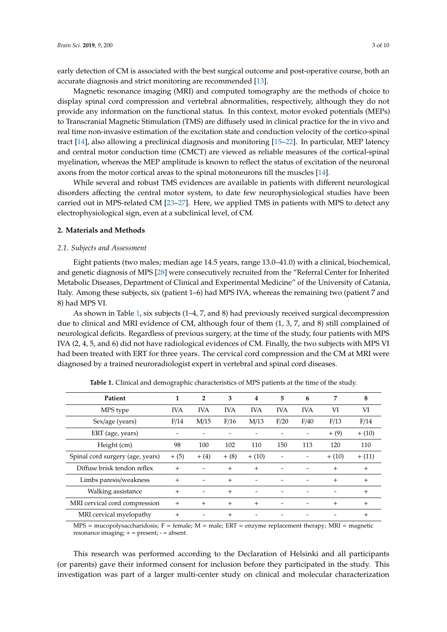early detection of CM is associated with the best surgical outcome and post-operative course, both an accurate diagnosis and strict monitoring are recommended [\[13\]](#page-7-11).

Magnetic resonance imaging (MRI) and computed tomography are the methods of choice to display spinal cord compression and vertebral abnormalities, respectively, although they do not provide any information on the functional status. In this context, motor evoked potentials (MEPs) to Transcranial Magnetic Stimulation (TMS) are diffusely used in clinical practice for the in vivo and real time non-invasive estimation of the excitation state and conduction velocity of the cortico-spinal tract [\[14\]](#page-7-12), also allowing a preclinical diagnosis and monitoring [\[15](#page-7-13)[–22\]](#page-8-0). In particular, MEP latency and central motor conduction time (CMCT) are viewed as reliable measures of the cortical-spinal myelination, whereas the MEP amplitude is known to reflect the status of excitation of the neuronal axons from the motor cortical areas to the spinal motoneurons till the muscles [\[14\]](#page-7-12).

While several and robust TMS evidences are available in patients with different neurological disorders affecting the central motor system, to date few neurophysiological studies have been carried out in MPS-related CM [\[23](#page-8-1)[–27\]](#page-8-2). Here, we applied TMS in patients with MPS to detect any electrophysiological sign, even at a subclinical level, of CM.

#### **2. Materials and Methods**

#### *2.1. Subjects and Assessment*

Eight patients (two males; median age 14.5 years, range 13.0–41.0) with a clinical, biochemical, and genetic diagnosis of MPS [\[28\]](#page-8-3) were consecutively recruited from the "Referral Center for Inherited Metabolic Diseases, Department of Clinical and Experimental Medicine" of the University of Catania, Italy. Among these subjects, six (patient 1–6) had MPS IVA, whereas the remaining two (patient 7 and 8) had MPS VI.

As shown in Table [1,](#page-2-0) six subjects (1–4, 7, and 8) had previously received surgical decompression due to clinical and MRI evidence of CM, although four of them (1, 3, 7, and 8) still complained of neurological deficits. Regardless of previous surgery, at the time of the study, four patients with MPS IVA (2, 4, 5, and 6) did not have radiological evidences of CM. Finally, the two subjects with MPS VI had been treated with ERT for three years. The cervical cord compression and the CM at MRI were diagnosed by a trained neuroradiologist expert in vertebral and spinal cord diseases.

<span id="page-2-0"></span>

| Patient                          | 1                    | $\overline{2}$                       | 3           | 4          | 5          | 6          | 7            | 8        |
|----------------------------------|----------------------|--------------------------------------|-------------|------------|------------|------------|--------------|----------|
| MPS type                         | <b>IVA</b>           | <b>IVA</b>                           | <b>IVA</b>  | <b>IVA</b> | <b>IVA</b> | <b>IVA</b> | VI           | VI       |
| Sex/age (years)                  | F/14                 | M/15<br>F/16<br>M/13<br>F/20<br>F/40 |             |            |            |            | F/13         | F/14     |
| ERT (age, years)                 |                      |                                      |             |            |            |            | $+(9)$       | $+ (10)$ |
| Height (cm)                      | 98                   | 100                                  | 102         | 110        | 150        | 113        | 120          | 110      |
| Spinal cord surgery (age, years) | $+ (5)$              | $+ (4)$                              | $+ (8)$     | $+ (10)$   |            |            | $+ (10)$     | $+ (11)$ |
| Diffuse brisk tendon reflex      | $+$                  |                                      | $+$         | $+$        |            |            | $+$          | $+$      |
| Limbs paresis/weakness           | $+$                  |                                      | $+$         |            |            |            | $+$          | $+$      |
| Walking assistance               | $+$                  |                                      | $+$         |            |            |            |              | $+$      |
| MRI cervical cord compression    | $+$                  | $+$                                  | $+$         | $^{+}$     |            |            | $+$          | $+$      |
| MRI cervical myelopathy          | $+$                  |                                      | $^{+}$      |            |            |            |              | $+$      |
| $\mathbf{r}$                     | $\sim$ $\sim$ $\sim$ |                                      | <b>DOM:</b> |            |            |            | $\mathbf{r}$ |          |

**Table 1.** Clinical and demographic characteristics of MPS patients at the time of the study.

 $MPS$  = mucopolysaccharidosis; F = female; M = male; ERT = enzyme replacement therapy; MRI = magnetic resonance imaging; + = present; - = absent.

This research was performed according to the Declaration of Helsinki and all participants (or parents) gave their informed consent for inclusion before they participated in the study. This investigation was part of a larger multi-center study on clinical and molecular characterization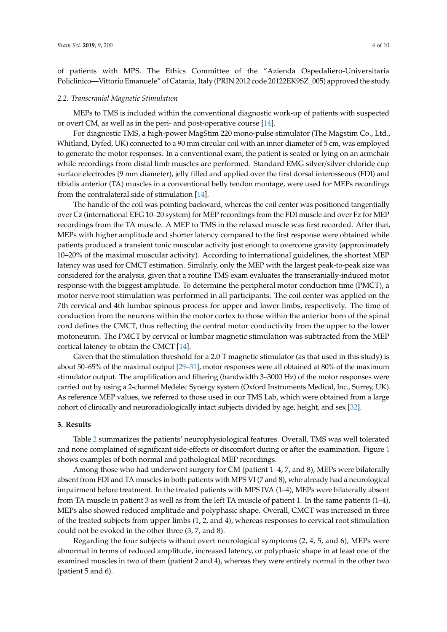of patients with MPS. The Ethics Committee of the "Azienda Ospedaliero-Universitaria Policlinico—Vittorio Emanuele" of Catania, Italy (PRIN 2012 code 20122EK9SZ\_005) approved the study.

## *2.2. Transcranial Magnetic Stimulation*

MEPs to TMS is included within the conventional diagnostic work-up of patients with suspected or overt CM, as well as in the peri- and post-operative course [\[14\]](#page-7-12).

For diagnostic TMS, a high-power MagStim 220 mono-pulse stimulator (The Magstim Co., Ltd., Whitland, Dyfed, UK) connected to a 90 mm circular coil with an inner diameter of 5 cm, was employed to generate the motor responses. In a conventional exam, the patient is seated or lying on an armchair while recordings from distal limb muscles are performed. Standard EMG silver/silver chloride cup surface electrodes (9 mm diameter), jelly filled and applied over the first dorsal interosseous (FDI) and tibialis anterior (TA) muscles in a conventional belly tendon montage, were used for MEPs recordings from the contralateral side of stimulation [\[14\]](#page-7-12).

The handle of the coil was pointing backward, whereas the coil center was positioned tangentially over Cz (international EEG 10–20 system) for MEP recordings from the FDI muscle and over Fz for MEP recordings from the TA muscle. A MEP to TMS in the relaxed muscle was first recorded. After that, MEPs with higher amplitude and shorter latency compared to the first response were obtained while patients produced a transient tonic muscular activity just enough to overcome gravity (approximately 10–20% of the maximal muscular activity). According to international guidelines, the shortest MEP latency was used for CMCT estimation. Similarly, only the MEP with the largest peak-to-peak size was considered for the analysis, given that a routine TMS exam evaluates the transcranially-induced motor response with the biggest amplitude. To determine the peripheral motor conduction time (PMCT), a motor nerve root stimulation was performed in all participants. The coil center was applied on the 7th cervical and 4th lumbar spinous process for upper and lower limbs, respectively. The time of conduction from the neurons within the motor cortex to those within the anterior horn of the spinal cord defines the CMCT, thus reflecting the central motor conductivity from the upper to the lower motoneuron. The PMCT by cervical or lumbar magnetic stimulation was subtracted from the MEP cortical latency to obtain the CMCT [\[14\]](#page-7-12).

Given that the stimulation threshold for a 2.0 T magnetic stimulator (as that used in this study) is about 50–65% of the maximal output [\[29–](#page-8-4)[31\]](#page-8-5), motor responses were all obtained at 80% of the maximum stimulator output. The amplification and filtering (bandwidth 3–3000 Hz) of the motor responses were carried out by using a 2-channel Medelec Synergy system (Oxford Instruments Medical, Inc., Surrey, UK). As reference MEP values, we referred to those used in our TMS Lab, which were obtained from a large cohort of clinically and neuroradiologically intact subjects divided by age, height, and sex [\[32\]](#page-8-6).

## **3. Results**

Table [2](#page-4-0) summarizes the patients' neurophysiological features. Overall, TMS was well tolerated and none complained of significant side-effects or discomfort during or after the examination. Figure [1](#page-5-0) shows examples of both normal and pathological MEP recordings.

Among those who had underwent surgery for CM (patient 1–4, 7, and 8), MEPs were bilaterally absent from FDI and TA muscles in both patients with MPS VI (7 and 8), who already had a neurological impairment before treatment. In the treated patients with MPS IVA (1–4), MEPs were bilaterally absent from TA muscle in patient 3 as well as from the left TA muscle of patient 1. In the same patients (1–4), MEPs also showed reduced amplitude and polyphasic shape. Overall, CMCT was increased in three of the treated subjects from upper limbs (1, 2, and 4), whereas responses to cervical root stimulation could not be evoked in the other three (3, 7, and 8).

Regarding the four subjects without overt neurological symptoms (2, 4, 5, and 6), MEPs were abnormal in terms of reduced amplitude, increased latency, or polyphasic shape in at least one of the examined muscles in two of them (patient 2 and 4), whereas they were entirely normal in the other two (patient 5 and 6).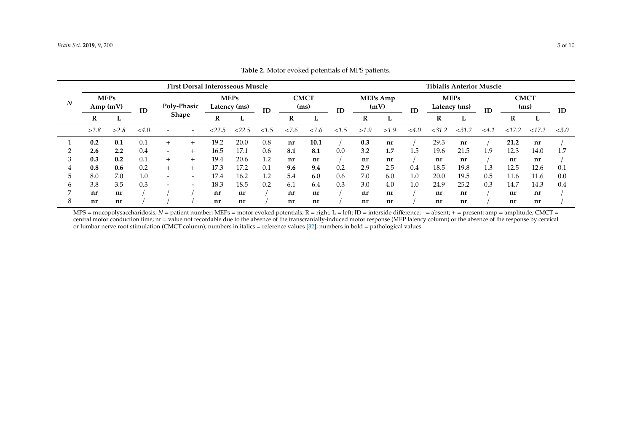|                  | <b>First Dorsal Interosseous Muscle</b> |      |      |                          |                             |      |        |                     |      |      | <b>Tibialis Anterior Muscle</b> |      |      |                             |        |        |                     |       |       |       |
|------------------|-----------------------------------------|------|------|--------------------------|-----------------------------|------|--------|---------------------|------|------|---------------------------------|------|------|-----------------------------|--------|--------|---------------------|-------|-------|-------|
| $\boldsymbol{N}$ | <b>MEPs</b><br>Amp(mV)                  |      | ID   | Poly-Phasic              | <b>MEPs</b><br>Latency (ms) |      | ID     | <b>CMCT</b><br>(ms) |      | ID   | <b>MEPs</b> Amp<br>(mV)         |      | ID   | <b>MEPs</b><br>Latency (ms) |        | ID     | <b>CMCT</b><br>(ms) |       | ID    |       |
|                  | R                                       | ┗    |      |                          | <b>Shape</b>                | R    |        |                     | R    | ь    |                                 | R    |      |                             | R      |        |                     | R     | ப     |       |
|                  | >2.8                                    | >2.8 | <4.0 |                          |                             |      | < 22.5 | ${<}1.5$            | 27.6 | 27.6 | < 1.5                           | >1.9 | >1.9 | < 4.0                       | < 31.2 | < 31.2 | < 4.1               | <17.2 | <17.2 | < 3.0 |
|                  | 0.2                                     | 0.1  | 0.1  | $^{+}$                   | $^{+}$                      | 19.2 | 20.0   | 0.8                 | nr   | 10.1 |                                 | 0.3  | nr   |                             | 29.3   | nr     |                     | 21.2  | nr    |       |
|                  | 2.6                                     | 2.2  | 0.4  | $\overline{\phantom{a}}$ | $^{+}$                      | 16.5 | 17.1   | 0.6                 | 8.1  | 8.1  | 0.0                             | 3.2  | 1.7  | 1.5                         | 19.6   | 21.5   | 1.9                 | 12.3  | 14.0  |       |
|                  | 0.3                                     | 0.2  | 0.1  | $^{+}$                   | $^{+}$                      | 19.4 | 20.6   | 1.2                 | nr   | nr   |                                 | nr   | nr   |                             | nr     | nr     |                     | nr    | nr    |       |
| 4                | 0.8                                     | 0.6  | 0.2  | $^{+}$                   | $+$                         | 17.3 | 17.2   | 0.1                 | 9.6  | 9.4  | 0.2                             | 2.9  | 2.5  | 0.4                         | 18.5   | 19.8   | 1.3                 | 12.5  | 12.6  | 0.1   |
| 5                | 8.0                                     | 7.0  | 1.0  | $\overline{\phantom{0}}$ | $\overline{\phantom{0}}$    | 17.4 | 16.2   | 1.2                 | 5.4  | 6.0  | 0.6                             | 7.0  | 6.0  | 1.0                         | 20.0   | 19.5   | 0.5                 | 11.6  | 11.6  | 0.0   |
| h                | 3.8                                     | 3.5  | 0.3  | $\overline{\phantom{0}}$ | $\overline{\phantom{0}}$    | 18.3 | 18.5   | 0.2                 | 6.1  | 6.4  | 0.3                             | 3.0  | 4.0  | 1.0                         | 24.9   | 25.2   | 0.3                 | 14.7  | 14.3  | 0.4   |
|                  | nr                                      | nr   |      |                          |                             | nr   | nr     |                     | nr   | nr   |                                 | nr   | nr   |                             | nr     | nr     |                     | nr    | nr    |       |
|                  | nr                                      | nr   |      |                          |                             | nr   | nr     |                     | nr   | nr   |                                 | nr   | nr   |                             | nr     | nr     |                     | nr    | nr    |       |

**Table 2.** Motor evoked potentials of MPS patients.

<span id="page-4-0"></span>MPS = mucopolysaccharidosis; *N* = patient number; MEPs = motor evoked potentials; R = right; L = left; ID = interside difference; - = absent; + = present; amp = amplitude; CMCT = central motor conduction time;  $nr = value$  not recordable due to the absence of the transcranially-induced motor response (MEP latency column) or the absence of the response by cervical or lumbar nerve root stimulation (CMCT column); numbers in italics = reference values [\[32\]](#page-8-7); numbers in bold = pathological values.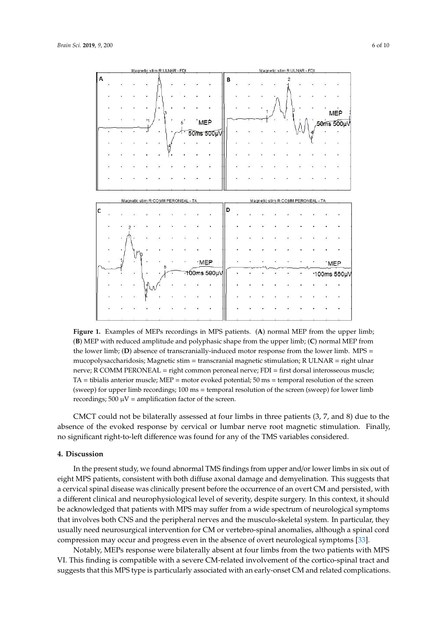<span id="page-5-0"></span>

**Figure 1.** Examples of MEPs recordings in MPS patients. (**A**) normal MEP from the upper limb; (**B**) **Figure 1.** Examples of MEPs recordings in MPS patients. (**A**) normal MEP from the upper limb; MEP with reduced amplitude and polyphasic shape from the upper limb; (**C**) normal MEP from the (**B**) MEP with reduced amplitude and polyphasic shape from the upper limb; (**C**) normal MEP from the lower limb; (D) absence of transcranially-induced motor response from the lower limb. MPS = mucopolysaccharidosis; Magnetic stim = transcranial magnetic stimulation; R ULNAR = right ulnar mucopolysaccharidosis; Magnetic stim = transcranial magnetic stimulation; R ULNAR = right ulnar nerve; R COMM PERONEAL = right common peroneal nerve; FDI = first dorsal interosseous muscle; nerve; R COMM PERONEAL = right common peroneal nerve; FDI = first dorsal interosseous muscle; TA = tibialis anterior muscle; MEP = motor evoked potential; 50 ms = temporal resolution of the screen TA = tibialis anterior muscle; MEP = motor evoked potential; 50 ms = temporal resolution of the screen (sweep) for upper limb recordings; 100 ms = temporal resolution of the screen (sweep) for lower limb (sweep) for upper limb recordings; 100 ms = temporal resolution of the screen (sweep) for lower limb recordings;  $500 \mu V =$  amplification factor of the screen.

CMCT could not be bilaterally assessed at four limbs in three patients (3, 7, and 8) due to the CMCT could not be bilaterally assessed at four limbs in three patients (3, 7, and 8) due to the absence of the evoked response by cervical or lumbar nerve root magnetic stimulation. Finally,  $\frac{1}{2}$ significant right-to-left difference was found for any of the TMS variables considered. no significant right-to-left difference was found for any of the TMS variables considered.

#### **4. Discussion 4. Discussion**

eight MPS patients, consistent with both diffuse axonal damage and demyelination. This suggests that out of the metal spinal disease was clinically present before the occurrence of an overt CM and persisted, with a different clinical and neurophysiological level of severity, despite surgery. In this context, it should be acknowledged that patients with MPS may suffer from a wide spectrum of neurological symptoms that involves both CNS and the peripheral nerves and the musculo-skeletal system. In particular, they usually need neurosurgical intervention for CM or vertebro-spinal anomalies, although a spinal cord compression may occur and progress even in the absence of overt neurological symptoms [\[33\]](#page-8-8). In the present study, we found abnormal TMS findings from upper and/or lower limbs in six out of

Notably, MEPs response were bilaterally absent at four limbs from the two patients with MPS VI. This finding is compatible with a severe CM-related involvement of the cortico-spinal tract and  $\frac{1}{2}$  or that this MPS repo $\frac{1}{2}$  is particularly associated with ap oxly open CM and related complications. suggests that this MPS type is particularly associated with an early-onset CM and related complications.<br> $\blacksquare$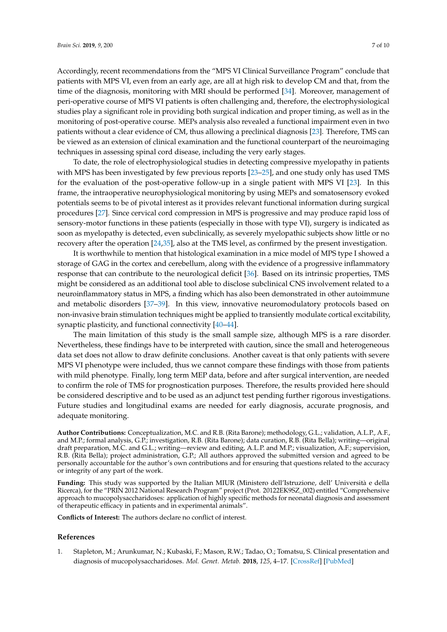Accordingly, recent recommendations from the "MPS VI Clinical Surveillance Program" conclude that patients with MPS VI, even from an early age, are all at high risk to develop CM and that, from the time of the diagnosis, monitoring with MRI should be performed [\[34\]](#page-8-9). Moreover, management of peri-operative course of MPS VI patients is often challenging and, therefore, the electrophysiological studies play a significant role in providing both surgical indication and proper timing, as well as in the monitoring of post-operative course. MEPs analysis also revealed a functional impairment even in two patients without a clear evidence of CM, thus allowing a preclinical diagnosis [\[23\]](#page-8-1). Therefore, TMS can be viewed as an extension of clinical examination and the functional counterpart of the neuroimaging techniques in assessing spinal cord disease, including the very early stages.

To date, the role of electrophysiological studies in detecting compressive myelopathy in patients with MPS has been investigated by few previous reports [\[23–](#page-8-1)[25\]](#page-8-10), and one study only has used TMS for the evaluation of the post-operative follow-up in a single patient with MPS VI [\[23\]](#page-8-1). In this frame, the intraoperative neurophysiological monitoring by using MEPs and somatosensory evoked potentials seems to be of pivotal interest as it provides relevant functional information during surgical procedures [\[27\]](#page-8-2). Since cervical cord compression in MPS is progressive and may produce rapid loss of sensory-motor functions in these patients (especially in those with type VI), surgery is indicated as soon as myelopathy is detected, even subclinically, as severely myelopathic subjects show little or no recovery after the operation [\[24,](#page-8-11)[35\]](#page-8-12), also at the TMS level, as confirmed by the present investigation.

It is worthwhile to mention that histological examination in a mice model of MPS type I showed a storage of GAG in the cortex and cerebellum, along with the evidence of a progressive inflammatory response that can contribute to the neurological deficit [\[36\]](#page-8-13). Based on its intrinsic properties, TMS might be considered as an additional tool able to disclose subclinical CNS involvement related to a neuroinflammatory status in MPS, a finding which has also been demonstrated in other autoimmune and metabolic disorders [\[37](#page-8-14)[–39\]](#page-8-15). In this view, innovative neuromodulatory protocols based on non-invasive brain stimulation techniques might be applied to transiently modulate cortical excitability, synaptic plasticity, and functional connectivity [\[40–](#page-9-0)[44\]](#page-9-1).

The main limitation of this study is the small sample size, although MPS is a rare disorder. Nevertheless, these findings have to be interpreted with caution, since the small and heterogeneous data set does not allow to draw definite conclusions. Another caveat is that only patients with severe MPS VI phenotype were included, thus we cannot compare these findings with those from patients with mild phenotype. Finally, long term MEP data, before and after surgical intervention, are needed to confirm the role of TMS for prognostication purposes. Therefore, the results provided here should be considered descriptive and to be used as an adjunct test pending further rigorous investigations. Future studies and longitudinal exams are needed for early diagnosis, accurate prognosis, and adequate monitoring.

**Author Contributions:** Conceptualization, M.C. and R.B. (Rita Barone); methodology, G.L.; validation, A.L.P., A.F., and M.P.; formal analysis, G.P.; investigation, R.B. (Rita Barone); data curation, R.B. (Rita Bella); writing—original draft preparation, M.C. and G.L.; writing—review and editing, A.L.P. and M.P.; visualization, A.F.; supervision, R.B. (Rita Bella); project administration, G.P.; All authors approved the submitted version and agreed to be personally accountable for the author's own contributions and for ensuring that questions related to the accuracy or integrity of any part of the work.

**Funding:** This study was supported by the Italian MIUR (Ministero dell'Istruzione, dell' Università e della Ricerca), for the "PRIN 2012 National Research Program" project (Prot. 20122EK9SZ\_002) entitled "Comprehensive approach to mucopolysaccharidoses: application of highly specific methods for neonatal diagnosis and assessment of therapeutic efficacy in patients and in experimental animals".

**Conflicts of Interest:** The authors declare no conflict of interest.

## **References**

<span id="page-6-0"></span>1. Stapleton, M.; Arunkumar, N.; Kubaski, F.; Mason, R.W.; Tadao, O.; Tomatsu, S. Clinical presentation and diagnosis of mucopolysaccharidoses. *Mol. Genet. Metab.* **2018**, *125*, 4–17. [\[CrossRef\]](http://dx.doi.org/10.1016/j.ymgme.2018.01.003) [\[PubMed\]](http://www.ncbi.nlm.nih.gov/pubmed/30057281)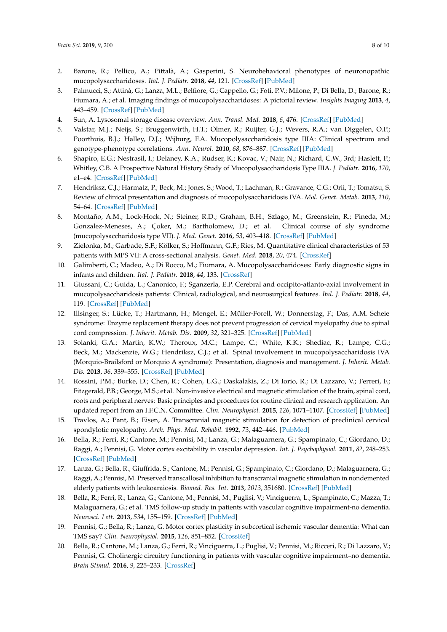- <span id="page-7-0"></span>2. Barone, R.; Pellico, A.; Pittalà, A.; Gasperini, S. Neurobehavioral phenotypes of neuronopathic mucopolysaccharidoses. *Ital. J. Pediatr.* **2018**, *44*, 121. [\[CrossRef\]](http://dx.doi.org/10.1186/s13052-018-0561-2) [\[PubMed\]](http://www.ncbi.nlm.nih.gov/pubmed/30442188)
- <span id="page-7-1"></span>3. Palmucci, S.; Attinà, G.; Lanza, M.L.; Belfiore, G.; Cappello, G.; Foti, P.V.; Milone, P.; Di Bella, D.; Barone, R.; Fiumara, A.; et al. Imaging findings of mucopolysaccharidoses: A pictorial review. *Insights Imaging* **2013**, *4*, 443–459. [\[CrossRef\]](http://dx.doi.org/10.1007/s13244-013-0246-8) [\[PubMed\]](http://www.ncbi.nlm.nih.gov/pubmed/23645566)
- <span id="page-7-2"></span>4. Sun, A. Lysosomal storage disease overview. *Ann. Transl. Med.* **2018**, *6*, 476. [\[CrossRef\]](http://dx.doi.org/10.21037/atm.2018.11.39) [\[PubMed\]](http://www.ncbi.nlm.nih.gov/pubmed/30740407)
- <span id="page-7-3"></span>5. Valstar, M.J.; Neijs, S.; Bruggenwirth, H.T.; Olmer, R.; Ruijter, G.J.; Wevers, R.A.; van Diggelen, O.P.; Poorthuis, B.J.; Halley, D.J.; Wijburg, F.A. Mucopolysaccharidosis type IIIA: Clinical spectrum and genotype-phenotype correlations. *Ann. Neurol.* **2010**, *68*, 876–887. [\[CrossRef\]](http://dx.doi.org/10.1002/ana.22092) [\[PubMed\]](http://www.ncbi.nlm.nih.gov/pubmed/21061399)
- <span id="page-7-4"></span>6. Shapiro, E.G.; Nestrasil, I.; Delaney, K.A.; Rudser, K.; Kovac, V.; Nair, N.; Richard, C.W., 3rd; Haslett, P.; Whitley, C.B. A Prospective Natural History Study of Mucopolysaccharidosis Type IIIA. *J. Pediatr.* **2016**, *170*, e1–e4. [\[CrossRef\]](http://dx.doi.org/10.1016/j.jpeds.2015.11.079) [\[PubMed\]](http://www.ncbi.nlm.nih.gov/pubmed/26787381)
- <span id="page-7-5"></span>7. Hendriksz, C.J.; Harmatz, P.; Beck, M.; Jones, S.; Wood, T.; Lachman, R.; Gravance, C.G.; Orii, T.; Tomatsu, S. Review of clinical presentation and diagnosis of mucopolysaccharidosis IVA. *Mol. Genet. Metab.* **2013**, *110*, 54–64. [\[CrossRef\]](http://dx.doi.org/10.1016/j.ymgme.2013.04.002) [\[PubMed\]](http://www.ncbi.nlm.nih.gov/pubmed/23665161)
- <span id="page-7-6"></span>8. Montaño, A.M.; Lock-Hock, N.; Steiner, R.D.; Graham, B.H.; Szlago, M.; Greenstein, R.; Pineda, M.; Gonzalez-Meneses, A.; Çoker, M.; Bartholomew, D.; et al. Clinical course of sly syndrome (mucopolysaccharidosis type VII). *J. Med. Genet.* **2016**, *53*, 403–418. [\[CrossRef\]](http://dx.doi.org/10.1136/jmedgenet-2015-103322) [\[PubMed\]](http://www.ncbi.nlm.nih.gov/pubmed/26908836)
- <span id="page-7-7"></span>9. Zielonka, M.; Garbade, S.F.; Kölker, S.; Hoffmann, G.F.; Ries, M. Quantitative clinical characteristics of 53 patients with MPS VII: A cross-sectional analysis. *Genet. Med.* **2018**, *20*, 474. [\[CrossRef\]](http://dx.doi.org/10.1038/gim.2017.87)
- <span id="page-7-8"></span>10. Galimberti, C.; Madeo, A.; Di Rocco, M.; Fiumara, A. Mucopolysaccharidoses: Early diagnostic signs in infants and children. *Ital. J. Pediatr.* **2018**, *44*, 133. [\[CrossRef\]](http://dx.doi.org/10.1186/s13052-018-0550-5)
- <span id="page-7-9"></span>11. Giussani, C.; Guida, L.; Canonico, F.; Sganzerla, E.P. Cerebral and occipito-atlanto-axial involvement in mucopolysaccharidosis patients: Clinical, radiological, and neurosurgical features. *Ital. J. Pediatr.* **2018**, *44*, 119. [\[CrossRef\]](http://dx.doi.org/10.1186/s13052-018-0558-x) [\[PubMed\]](http://www.ncbi.nlm.nih.gov/pubmed/30442179)
- <span id="page-7-10"></span>12. Illsinger, S.; Lücke, T.; Hartmann, H.; Mengel, E.; Müller-Forell, W.; Donnerstag, F.; Das, A.M. Scheie syndrome: Enzyme replacement therapy does not prevent progression of cervical myelopathy due to spinal cord compression. *J. Inherit. Metab. Dis.* **2009**, *32*, 321–325. [\[CrossRef\]](http://dx.doi.org/10.1007/s10545-009-1265-y) [\[PubMed\]](http://www.ncbi.nlm.nih.gov/pubmed/19894140)
- <span id="page-7-11"></span>13. Solanki, G.A.; Martin, K.W.; Theroux, M.C.; Lampe, C.; White, K.K.; Shediac, R.; Lampe, C.G.; Beck, M.; Mackenzie, W.G.; Hendriksz, C.J.; et al. Spinal involvement in mucopolysaccharidosis IVA (Morquio-Brailsford or Morquio A syndrome): Presentation, diagnosis and management. *J. Inherit. Metab. Dis.* **2013**, *36*, 339–355. [\[CrossRef\]](http://dx.doi.org/10.1007/s10545-013-9586-2) [\[PubMed\]](http://www.ncbi.nlm.nih.gov/pubmed/23385297)
- <span id="page-7-12"></span>14. Rossini, P.M.; Burke, D.; Chen, R.; Cohen, L.G.; Daskalakis, Z.; Di Iorio, R.; Di Lazzaro, V.; Ferreri, F.; Fitzgerald, P.B.; George, M.S.; et al. Non-invasive electrical and magnetic stimulation of the brain, spinal cord, roots and peripheral nerves: Basic principles and procedures for routine clinical and research application. An updated report from an I.F.C.N. Committee. *Clin. Neurophysiol.* **2015**, *126*, 1071–1107. [\[CrossRef\]](http://dx.doi.org/10.1016/j.clinph.2015.02.001) [\[PubMed\]](http://www.ncbi.nlm.nih.gov/pubmed/25797650)
- <span id="page-7-13"></span>15. Travlos, A.; Pant, B.; Eisen, A. Transcranial magnetic stimulation for detection of preclinical cervical spondylotic myelopathy. *Arch. Phys. Med. Rehabil.* **1992**, *73*, 442–446. [\[PubMed\]](http://www.ncbi.nlm.nih.gov/pubmed/1580771)
- 16. Bella, R.; Ferri, R.; Cantone, M.; Pennisi, M.; Lanza, G.; Malaguarnera, G.; Spampinato, C.; Giordano, D.; Raggi, A.; Pennisi, G. Motor cortex excitability in vascular depression. *Int. J. Psychophysiol.* **2011**, *82*, 248–253. [\[CrossRef\]](http://dx.doi.org/10.1016/j.ijpsycho.2011.09.006) [\[PubMed\]](http://www.ncbi.nlm.nih.gov/pubmed/21945481)
- 17. Lanza, G.; Bella, R.; Giuffrida, S.; Cantone, M.; Pennisi, G.; Spampinato, C.; Giordano, D.; Malaguarnera, G.; Raggi, A.; Pennisi, M. Preserved transcallosal inhibition to transcranial magnetic stimulation in nondemented elderly patients with leukoaraiosis. *Biomed. Res. Int.* **2013**, *2013*, 351680. [\[CrossRef\]](http://dx.doi.org/10.1155/2013/351680) [\[PubMed\]](http://www.ncbi.nlm.nih.gov/pubmed/23984349)
- 18. Bella, R.; Ferri, R.; Lanza, G.; Cantone, M.; Pennisi, M.; Puglisi, V.; Vinciguerra, L.; Spampinato, C.; Mazza, T.; Malaguarnera, G.; et al. TMS follow-up study in patients with vascular cognitive impairment-no dementia. *Neurosci. Lett.* **2013**, *534*, 155–159. [\[CrossRef\]](http://dx.doi.org/10.1016/j.neulet.2012.12.017) [\[PubMed\]](http://www.ncbi.nlm.nih.gov/pubmed/23274709)
- 19. Pennisi, G.; Bella, R.; Lanza, G. Motor cortex plasticity in subcortical ischemic vascular dementia: What can TMS say? *Clin. Neurophysiol.* **2015**, *126*, 851–852. [\[CrossRef\]](http://dx.doi.org/10.1016/j.clinph.2014.09.001)
- 20. Bella, R.; Cantone, M.; Lanza, G.; Ferri, R.; Vinciguerra, L.; Puglisi, V.; Pennisi, M.; Ricceri, R.; Di Lazzaro, V.; Pennisi, G. Cholinergic circuitry functioning in patients with vascular cognitive impairment–no dementia. *Brain Stimul.* **2016**, *9*, 225–233. [\[CrossRef\]](http://dx.doi.org/10.1016/j.brs.2015.09.013)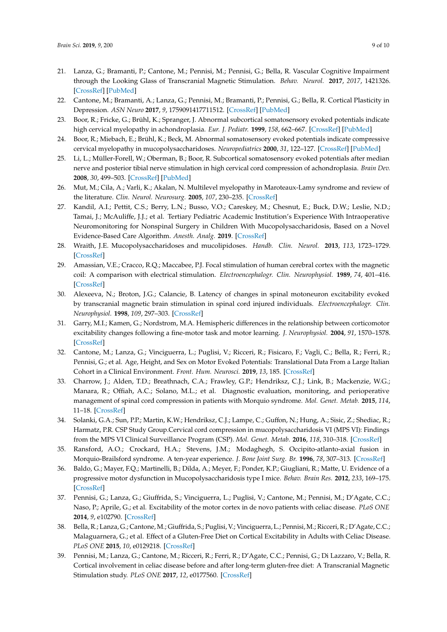- 21. Lanza, G.; Bramanti, P.; Cantone, M.; Pennisi, M.; Pennisi, G.; Bella, R. Vascular Cognitive Impairment through the Looking Glass of Transcranial Magnetic Stimulation. *Behav. Neurol.* **2017**, *2017*, 1421326. [\[CrossRef\]](http://dx.doi.org/10.1155/2017/1421326) [\[PubMed\]](http://www.ncbi.nlm.nih.gov/pubmed/28348458)
- <span id="page-8-0"></span>22. Cantone, M.; Bramanti, A.; Lanza, G.; Pennisi, M.; Bramanti, P.; Pennisi, G.; Bella, R. Cortical Plasticity in Depression. *ASN Neuro* **2017**, *9*, 1759091417711512. [\[CrossRef\]](http://dx.doi.org/10.1177/1759091417711512) [\[PubMed\]](http://www.ncbi.nlm.nih.gov/pubmed/28629225)
- <span id="page-8-1"></span>23. Boor, R.; Fricke, G.; Brühl, K.; Spranger, J. Abnormal subcortical somatosensory evoked potentials indicate high cervical myelopathy in achondroplasia. *Eur. J. Pediatr.* **1999**, *158*, 662–667. [\[CrossRef\]](http://dx.doi.org/10.1007/s004310051172) [\[PubMed\]](http://www.ncbi.nlm.nih.gov/pubmed/10445347)
- <span id="page-8-11"></span>24. Boor, R.; Miebach, E.; Brühl, K.; Beck, M. Abnormal somatosensory evoked potentials indicate compressive cervical myelopathy in mucopolysaccharidoses. *Neuropediatrics* **2000**, *31*, 122–127. [\[CrossRef\]](http://dx.doi.org/10.1055/s-2000-7495) [\[PubMed\]](http://www.ncbi.nlm.nih.gov/pubmed/10963098)
- <span id="page-8-10"></span><span id="page-8-7"></span>25. Li, L.; Müller-Forell, W.; Oberman, B.; Boor, R. Subcortical somatosensory evoked potentials after median nerve and posterior tibial nerve stimulation in high cervical cord compression of achondroplasia. *Brain Dev.* **2008**, *30*, 499–503. [\[CrossRef\]](http://dx.doi.org/10.1016/j.braindev.2007.06.011) [\[PubMed\]](http://www.ncbi.nlm.nih.gov/pubmed/18597963)
- 26. Mut, M.; Cila, A.; Varli, K.; Akalan, N. Multilevel myelopathy in Maroteaux-Lamy syndrome and review of the literature. *Clin. Neurol. Neurosurg.* **2005**, *107*, 230–235. [\[CrossRef\]](http://dx.doi.org/10.1016/j.clineuro.2004.05.003)
- <span id="page-8-2"></span>27. Kandil, A.I.; Pettit, C.S.; Berry, L.N.; Busso, V.O.; Careskey, M.; Chesnut, E.; Buck, D.W.; Leslie, N.D.; Tamai, J.; McAuliffe, J.J.; et al. Tertiary Pediatric Academic Institution's Experience With Intraoperative Neuromonitoring for Nonspinal Surgery in Children With Mucopolysaccharidosis, Based on a Novel Evidence-Based Care Algorithm. *Anesth. Analg.* **2019**. [\[CrossRef\]](http://dx.doi.org/10.1213/ANE.0000000000004215)
- <span id="page-8-3"></span>28. Wraith, J.E. Mucopolysaccharidoses and mucolipidoses. *Handb. Clin. Neurol.* **2013**, *113*, 1723–1729. [\[CrossRef\]](http://dx.doi.org/10.1016/B978-0-444-59565-2.00042-3)
- <span id="page-8-4"></span>29. Amassian, V.E.; Cracco, R.Q.; Maccabee, P.J. Focal stimulation of human cerebral cortex with the magnetic coil: A comparison with electrical stimulation. *Electroencephalogr. Clin. Neurophysiol.* **1989**, *74*, 401–416. [\[CrossRef\]](http://dx.doi.org/10.1016/0168-5597(89)90029-4)
- 30. Alexeeva, N.; Broton, J.G.; Calancie, B. Latency of changes in spinal motoneuron excitability evoked by transcranial magnetic brain stimulation in spinal cord injured individuals. *Electroencephalogr. Clin. Neurophysiol.* **1998**, *109*, 297–303. [\[CrossRef\]](http://dx.doi.org/10.1016/S0924-980X(98)00021-6)
- <span id="page-8-5"></span>31. Garry, M.I.; Kamen, G.; Nordstrom, M.A. Hemispheric differences in the relationship between corticomotor excitability changes following a fine-motor task and motor learning. *J. Neurophysiol.* **2004**, *91*, 1570–1578. [\[CrossRef\]](http://dx.doi.org/10.1152/jn.00595.2003)
- <span id="page-8-6"></span>32. Cantone, M.; Lanza, G.; Vinciguerra, L.; Puglisi, V.; Ricceri, R.; Fisicaro, F.; Vagli, C.; Bella, R.; Ferri, R.; Pennisi, G.; et al. Age, Height, and Sex on Motor Evoked Potentials: Translational Data From a Large Italian Cohort in a Clinical Environment. *Front. Hum. Neurosci.* **2019**, *13*, 185. [\[CrossRef\]](http://dx.doi.org/10.3389/fnhum.2019.00185)
- <span id="page-8-8"></span>33. Charrow, J.; Alden, T.D.; Breathnach, C.A.; Frawley, G.P.; Hendriksz, C.J.; Link, B.; Mackenzie, W.G.; Manara, R.; Offiah, A.C.; Solano, M.L.; et al. Diagnostic evaluation, monitoring, and perioperative management of spinal cord compression in patients with Morquio syndrome. *Mol. Genet. Metab.* **2015**, *114*, 11–18. [\[CrossRef\]](http://dx.doi.org/10.1016/j.ymgme.2014.10.010)
- <span id="page-8-9"></span>34. Solanki, G.A.; Sun, P.P.; Martin, K.W.; Hendriksz, C.J.; Lampe, C.; Guffon, N.; Hung, A.; Sisic, Z.; Shediac, R.; Harmatz, P.R. CSP Study Group.Cervical cord compression in mucopolysaccharidosis VI (MPS VI): Findings from the MPS VI Clinical Surveillance Program (CSP). *Mol. Genet. Metab.* **2016**, *118*, 310–318. [\[CrossRef\]](http://dx.doi.org/10.1016/j.ymgme.2016.06.001)
- <span id="page-8-12"></span>35. Ransford, A.O.; Crockard, H.A.; Stevens, J.M.; Modaghegh, S. Occipito-atlanto-axial fusion in Morquio-Brailsford syndrome. A ten-year experience. *J. Bone Joint Surg. Br.* **1996**, *78*, 307–313. [\[CrossRef\]](http://dx.doi.org/10.1302/0301-620X.78B2.0780307)
- <span id="page-8-13"></span>36. Baldo, G.; Mayer, F.Q.; Martinelli, B.; Dilda, A.; Meyer, F.; Ponder, K.P.; Giugliani, R.; Matte, U. Evidence of a progressive motor dysfunction in Mucopolysaccharidosis type I mice. *Behav. Brain Res.* **2012**, *233*, 169–175. [\[CrossRef\]](http://dx.doi.org/10.1016/j.bbr.2012.04.051)
- <span id="page-8-14"></span>37. Pennisi, G.; Lanza, G.; Giuffrida, S.; Vinciguerra, L.; Puglisi, V.; Cantone, M.; Pennisi, M.; D'Agate, C.C.; Naso, P.; Aprile, G.; et al. Excitability of the motor cortex in de novo patients with celiac disease. *PLoS ONE* **2014**, *9*, e102790. [\[CrossRef\]](http://dx.doi.org/10.1371/journal.pone.0102790)
- 38. Bella, R.; Lanza, G.; Cantone, M.; Giuffrida, S.; Puglisi, V.; Vinciguerra, L.; Pennisi, M.; Ricceri, R.; D'Agate, C.C.; Malaguarnera, G.; et al. Effect of a Gluten-Free Diet on Cortical Excitability in Adults with Celiac Disease. *PLoS ONE* **2015**, *10*, e0129218. [\[CrossRef\]](http://dx.doi.org/10.1371/journal.pone.0129218)
- <span id="page-8-15"></span>39. Pennisi, M.; Lanza, G.; Cantone, M.; Ricceri, R.; Ferri, R.; D'Agate, C.C.; Pennisi, G.; Di Lazzaro, V.; Bella, R. Cortical involvement in celiac disease before and after long-term gluten-free diet: A Transcranial Magnetic Stimulation study. *PLoS ONE* **2017**, *12*, e0177560. [\[CrossRef\]](http://dx.doi.org/10.1371/journal.pone.0177560)